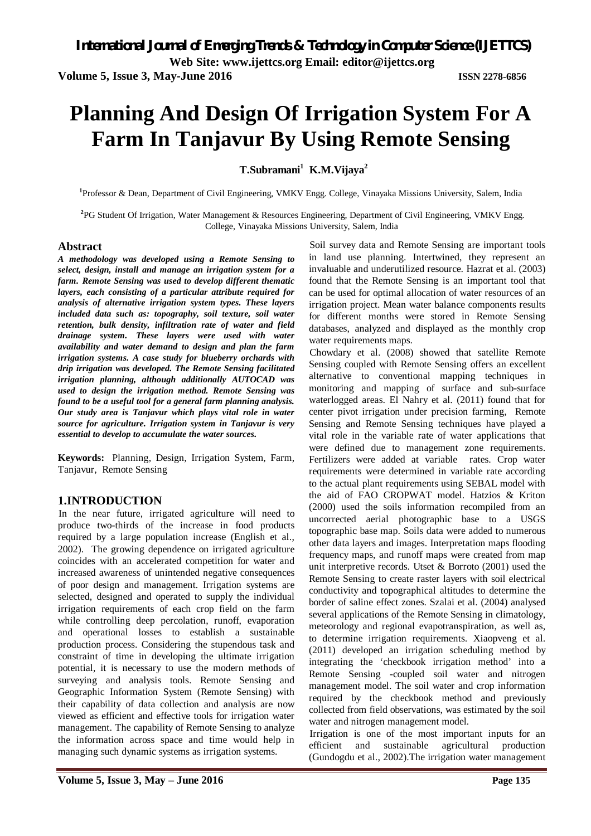**Web Site: www.ijettcs.org Email: editor@ijettcs.org** 

**Volume 5, Issue 3, May-June 2016 ISSN 2278-6856**

# **Planning And Design Of Irrigation System For A Farm In Tanjavur By Using Remote Sensing**

**T.Subramani<sup>1</sup> K.M.Vijaya<sup>2</sup>**

**1** Professor & Dean, Department of Civil Engineering, VMKV Engg. College, Vinayaka Missions University, Salem, India

**2** PG Student Of Irrigation, Water Management & Resources Engineering, Department of Civil Engineering, VMKV Engg. College, Vinayaka Missions University, Salem, India

#### **Abstract**

*A methodology was developed using a Remote Sensing to select, design, install and manage an irrigation system for a farm. Remote Sensing was used to develop different thematic layers, each consisting of a particular attribute required for analysis of alternative irrigation system types. These layers included data such as: topography, soil texture, soil water retention, bulk density, infiltration rate of water and field drainage system. These layers were used with water availability and water demand to design and plan the farm irrigation systems. A case study for blueberry orchards with drip irrigation was developed. The Remote Sensing facilitated irrigation planning, although additionally AUTOCAD was used to design the irrigation method. Remote Sensing was found to be a useful tool for a general farm planning analysis. Our study area is Tanjavur which plays vital role in water source for agriculture. Irrigation system in Tanjavur is very essential to develop to accumulate the water sources.*

**Keywords:** Planning, Design, Irrigation System, Farm, Tanjavur, Remote Sensing

## **1.INTRODUCTION**

In the near future, irrigated agriculture will need to produce two-thirds of the increase in food products required by a large population increase (English et al., 2002). The growing dependence on irrigated agriculture coincides with an accelerated competition for water and increased awareness of unintended negative consequences of poor design and management. Irrigation systems are selected, designed and operated to supply the individual irrigation requirements of each crop field on the farm while controlling deep percolation, runoff, evaporation and operational losses to establish a sustainable production process. Considering the stupendous task and constraint of time in developing the ultimate irrigation potential, it is necessary to use the modern methods of surveying and analysis tools. Remote Sensing and Geographic Information System (Remote Sensing) with their capability of data collection and analysis are now viewed as efficient and effective tools for irrigation water management. The capability of Remote Sensing to analyze the information across space and time would help in managing such dynamic systems as irrigation systems.

Soil survey data and Remote Sensing are important tools in land use planning. Intertwined, they represent an invaluable and underutilized resource. Hazrat et al. (2003) found that the Remote Sensing is an important tool that can be used for optimal allocation of water resources of an irrigation project. Mean water balance components results for different months were stored in Remote Sensing databases, analyzed and displayed as the monthly crop water requirements maps.

Chowdary et al. (2008) showed that satellite Remote Sensing coupled with Remote Sensing offers an excellent alternative to conventional mapping techniques in monitoring and mapping of surface and sub-surface waterlogged areas. El Nahry et al. (2011) found that for center pivot irrigation under precision farming, Remote Sensing and Remote Sensing techniques have played a vital role in the variable rate of water applications that were defined due to management zone requirements. Fertilizers were added at variable rates. Crop water requirements were determined in variable rate according to the actual plant requirements using SEBAL model with the aid of FAO CROPWAT model. Hatzios & Kriton (2000) used the soils information recompiled from an uncorrected aerial photographic base to a USGS topographic base map. Soils data were added to numerous other data layers and images. Interpretation maps flooding frequency maps, and runoff maps were created from map unit interpretive records. Utset & Borroto (2001) used the Remote Sensing to create raster layers with soil electrical conductivity and topographical altitudes to determine the border of saline effect zones. Szalai et al. (2004) analysed several applications of the Remote Sensing in climatology, meteorology and regional evapotranspiration, as well as, to determine irrigation requirements. Xiaopveng et al. (2011) developed an irrigation scheduling method by integrating the 'checkbook irrigation method' into a Remote Sensing -coupled soil water and nitrogen management model. The soil water and crop information required by the checkbook method and previously collected from field observations, was estimated by the soil water and nitrogen management model.

Irrigation is one of the most important inputs for an efficient and sustainable agricultural production (Gundogdu et al., 2002).The irrigation water management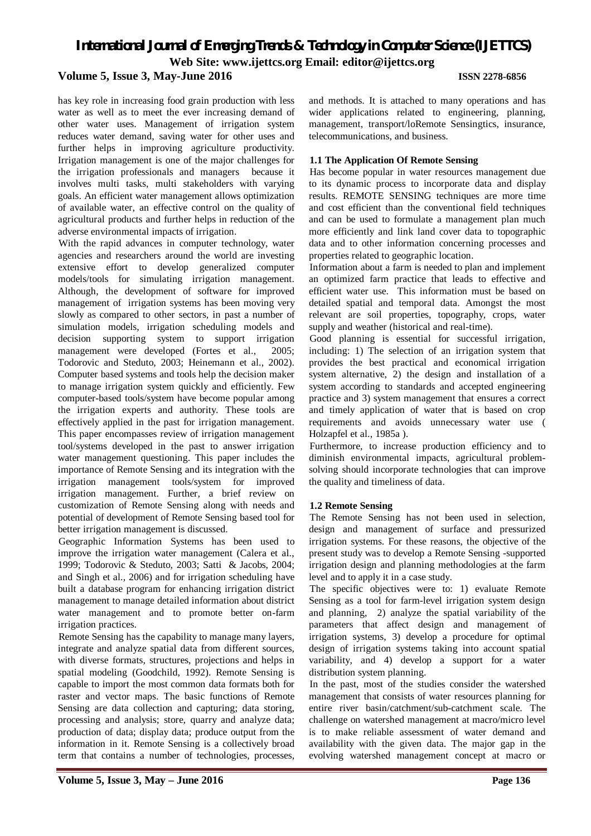has key role in increasing food grain production with less water as well as to meet the ever increasing demand of other water uses. Management of irrigation system reduces water demand, saving water for other uses and further helps in improving agriculture productivity. Irrigation management is one of the major challenges for the irrigation professionals and managers because it involves multi tasks, multi stakeholders with varying goals. An efficient water management allows optimization of available water, an effective control on the quality of agricultural products and further helps in reduction of the adverse environmental impacts of irrigation.

With the rapid advances in computer technology, water agencies and researchers around the world are investing extensive effort to develop generalized computer models/tools for simulating irrigation management. Although, the development of software for improved management of irrigation systems has been moving very slowly as compared to other sectors, in past a number of simulation models, irrigation scheduling models and decision supporting system to support irrigation management were developed (Fortes et al., 2005; Todorovic and Steduto, 2003; Heinemann et al., 2002). Computer based systems and tools help the decision maker to manage irrigation system quickly and efficiently. Few computer-based tools/system have become popular among the irrigation experts and authority. These tools are effectively applied in the past for irrigation management. This paper encompasses review of irrigation management tool/systems developed in the past to answer irrigation water management questioning. This paper includes the importance of Remote Sensing and its integration with the irrigation management tools/system for improved irrigation management. Further, a brief review on customization of Remote Sensing along with needs and potential of development of Remote Sensing based tool for better irrigation management is discussed.

Geographic Information Systems has been used to improve the irrigation water management (Calera et al., 1999; Todorovic & Steduto, 2003; Satti & Jacobs, 2004; and Singh et al., 2006) and for irrigation scheduling have built a database program for enhancing irrigation district management to manage detailed information about district water management and to promote better on-farm irrigation practices.

Remote Sensing has the capability to manage many layers, integrate and analyze spatial data from different sources, with diverse formats, structures, projections and helps in spatial modeling (Goodchild, 1992). Remote Sensing is capable to import the most common data formats both for raster and vector maps. The basic functions of Remote Sensing are data collection and capturing; data storing, processing and analysis; store, quarry and analyze data; production of data; display data; produce output from the information in it. Remote Sensing is a collectively broad term that contains a number of technologies, processes,

and methods. It is attached to many operations and has wider applications related to engineering, planning, management, transport/loRemote Sensingtics, insurance, telecommunications, and business.

### **1.1 The Application Of Remote Sensing**

Has become popular in water resources management due to its dynamic process to incorporate data and display results. REMOTE SENSING techniques are more time and cost efficient than the conventional field techniques and can be used to formulate a management plan much more efficiently and link land cover data to topographic data and to other information concerning processes and properties related to geographic location.

Information about a farm is needed to plan and implement an optimized farm practice that leads to effective and efficient water use. This information must be based on detailed spatial and temporal data. Amongst the most relevant are soil properties, topography, crops, water supply and weather (historical and real-time).

Good planning is essential for successful irrigation, including: 1) The selection of an irrigation system that provides the best practical and economical irrigation system alternative, 2) the design and installation of a system according to standards and accepted engineering practice and 3) system management that ensures a correct and timely application of water that is based on crop requirements and avoids unnecessary water use ( Holzapfel et al., 1985a ).

Furthermore, to increase production efficiency and to diminish environmental impacts, agricultural problemsolving should incorporate technologies that can improve the quality and timeliness of data.

## **1.2 Remote Sensing**

The Remote Sensing has not been used in selection, design and management of surface and pressurized irrigation systems. For these reasons, the objective of the present study was to develop a Remote Sensing -supported irrigation design and planning methodologies at the farm level and to apply it in a case study.

The specific objectives were to: 1) evaluate Remote Sensing as a tool for farm-level irrigation system design and planning, 2) analyze the spatial variability of the parameters that affect design and management of irrigation systems, 3) develop a procedure for optimal design of irrigation systems taking into account spatial variability, and 4) develop a support for a water distribution system planning.

In the past, most of the studies consider the watershed management that consists of water resources planning for entire river basin/catchment/sub-catchment scale. The challenge on watershed management at macro/micro level is to make reliable assessment of water demand and availability with the given data. The major gap in the evolving watershed management concept at macro or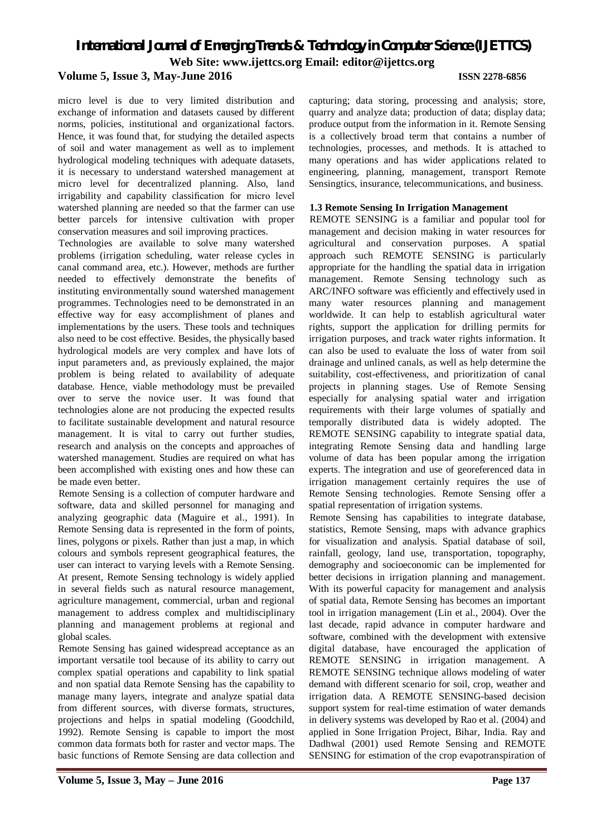micro level is due to very limited distribution and exchange of information and datasets caused by different norms, policies, institutional and organizational factors. Hence, it was found that, for studying the detailed aspects of soil and water management as well as to implement hydrological modeling techniques with adequate datasets, it is necessary to understand watershed management at micro level for decentralized planning. Also, land irrigability and capability classification for micro level watershed planning are needed so that the farmer can use better parcels for intensive cultivation with proper conservation measures and soil improving practices.

Technologies are available to solve many watershed problems (irrigation scheduling, water release cycles in canal command area, etc.). However, methods are further needed to effectively demonstrate the benefits of instituting environmentally sound watershed management programmes. Technologies need to be demonstrated in an effective way for easy accomplishment of planes and implementations by the users. These tools and techniques also need to be cost effective. Besides, the physically based hydrological models are very complex and have lots of input parameters and, as previously explained, the major problem is being related to availability of adequate database. Hence, viable methodology must be prevailed over to serve the novice user. It was found that technologies alone are not producing the expected results to facilitate sustainable development and natural resource management. It is vital to carry out further studies, research and analysis on the concepts and approaches of watershed management. Studies are required on what has been accomplished with existing ones and how these can be made even better.

Remote Sensing is a collection of computer hardware and software, data and skilled personnel for managing and analyzing geographic data (Maguire et al., 1991). In Remote Sensing data is represented in the form of points, lines, polygons or pixels. Rather than just a map, in which colours and symbols represent geographical features, the user can interact to varying levels with a Remote Sensing. At present, Remote Sensing technology is widely applied in several fields such as natural resource management, agriculture management, commercial, urban and regional management to address complex and multidisciplinary planning and management problems at regional and global scales.

Remote Sensing has gained widespread acceptance as an important versatile tool because of its ability to carry out complex spatial operations and capability to link spatial and non spatial data Remote Sensing has the capability to manage many layers, integrate and analyze spatial data from different sources, with diverse formats, structures, projections and helps in spatial modeling (Goodchild, 1992). Remote Sensing is capable to import the most common data formats both for raster and vector maps. The basic functions of Remote Sensing are data collection and

capturing; data storing, processing and analysis; store, quarry and analyze data; production of data; display data; produce output from the information in it. Remote Sensing is a collectively broad term that contains a number of technologies, processes, and methods. It is attached to many operations and has wider applications related to engineering, planning, management, transport Remote Sensingtics, insurance, telecommunications, and business.

### **1.3 Remote Sensing In Irrigation Management**

REMOTE SENSING is a familiar and popular tool for management and decision making in water resources for agricultural and conservation purposes. A spatial approach such REMOTE SENSING is particularly appropriate for the handling the spatial data in irrigation management. Remote Sensing technology such as ARC/INFO software was efficiently and effectively used in many water resources planning and management worldwide. It can help to establish agricultural water rights, support the application for drilling permits for irrigation purposes, and track water rights information. It can also be used to evaluate the loss of water from soil drainage and unlined canals, as well as help determine the suitability, cost-effectiveness, and prioritization of canal projects in planning stages. Use of Remote Sensing especially for analysing spatial water and irrigation requirements with their large volumes of spatially and temporally distributed data is widely adopted. The REMOTE SENSING capability to integrate spatial data, integrating Remote Sensing data and handling large volume of data has been popular among the irrigation experts. The integration and use of georeferenced data in irrigation management certainly requires the use of Remote Sensing technologies. Remote Sensing offer a spatial representation of irrigation systems.

Remote Sensing has capabilities to integrate database, statistics, Remote Sensing, maps with advance graphics for visualization and analysis. Spatial database of soil, rainfall, geology, land use, transportation, topography, demography and socioeconomic can be implemented for better decisions in irrigation planning and management. With its powerful capacity for management and analysis of spatial data, Remote Sensing has becomes an important tool in irrigation management (Lin et al., 2004). Over the last decade, rapid advance in computer hardware and software, combined with the development with extensive digital database, have encouraged the application of REMOTE SENSING in irrigation management. A REMOTE SENSING technique allows modeling of water demand with different scenario for soil, crop, weather and irrigation data. A REMOTE SENSING-based decision support system for real-time estimation of water demands in delivery systems was developed by Rao et al. (2004) and applied in Sone Irrigation Project, Bihar, India. Ray and Dadhwal (2001) used Remote Sensing and REMOTE SENSING for estimation of the crop evapotranspiration of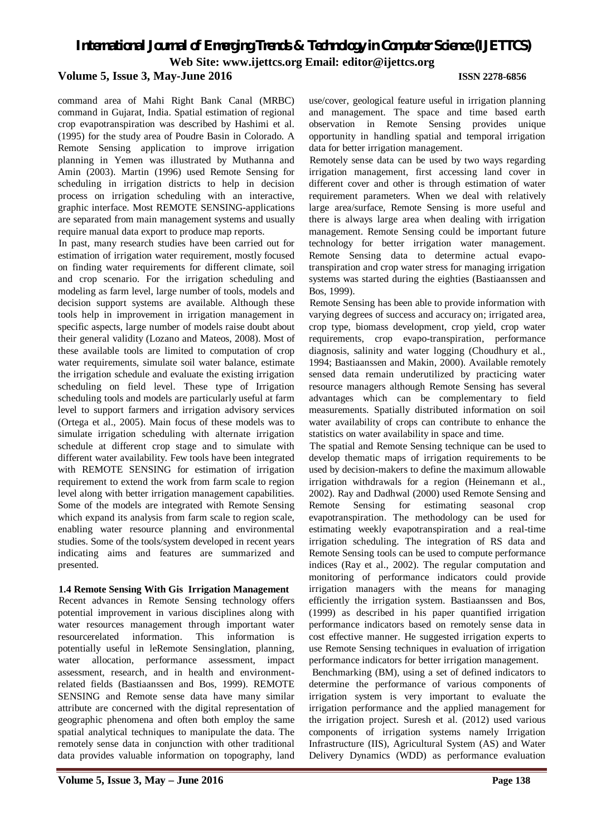**Volume 5, Issue 3, May-June 2016 ISSN 2278-6856** command area of Mahi Right Bank Canal (MRBC)

command in Gujarat, India. Spatial estimation of regional crop evapotranspiration was described by Hashimi et al. (1995) for the study area of Poudre Basin in Colorado. A Remote Sensing application to improve irrigation planning in Yemen was illustrated by Muthanna and Amin (2003). Martin (1996) used Remote Sensing for scheduling in irrigation districts to help in decision process on irrigation scheduling with an interactive, graphic interface. Most REMOTE SENSING-applications are separated from main management systems and usually require manual data export to produce map reports.

In past, many research studies have been carried out for estimation of irrigation water requirement, mostly focused on finding water requirements for different climate, soil and crop scenario. For the irrigation scheduling and modeling as farm level, large number of tools, models and decision support systems are available. Although these tools help in improvement in irrigation management in specific aspects, large number of models raise doubt about their general validity (Lozano and Mateos, 2008). Most of these available tools are limited to computation of crop water requirements, simulate soil water balance, estimate the irrigation schedule and evaluate the existing irrigation scheduling on field level. These type of Irrigation scheduling tools and models are particularly useful at farm level to support farmers and irrigation advisory services (Ortega et al., 2005). Main focus of these models was to simulate irrigation scheduling with alternate irrigation schedule at different crop stage and to simulate with different water availability. Few tools have been integrated with REMOTE SENSING for estimation of irrigation requirement to extend the work from farm scale to region level along with better irrigation management capabilities. Some of the models are integrated with Remote Sensing which expand its analysis from farm scale to region scale, enabling water resource planning and environmental studies. Some of the tools/system developed in recent years indicating aims and features are summarized and presented.

## **1.4 Remote Sensing With Gis Irrigation Management**

Recent advances in Remote Sensing technology offers potential improvement in various disciplines along with water resources management through important water resourcerelated information. This information is potentially useful in leRemote Sensinglation, planning, water allocation, performance assessment, impact assessment, research, and in health and environmentrelated fields (Bastiaanssen and Bos, 1999). REMOTE SENSING and Remote sense data have many similar attribute are concerned with the digital representation of geographic phenomena and often both employ the same spatial analytical techniques to manipulate the data. The remotely sense data in conjunction with other traditional data provides valuable information on topography, land use/cover, geological feature useful in irrigation planning and management. The space and time based earth observation in Remote Sensing provides unique opportunity in handling spatial and temporal irrigation data for better irrigation management.

Remotely sense data can be used by two ways regarding irrigation management, first accessing land cover in different cover and other is through estimation of water requirement parameters. When we deal with relatively large area/surface, Remote Sensing is more useful and there is always large area when dealing with irrigation management. Remote Sensing could be important future technology for better irrigation water management. Remote Sensing data to determine actual evapotranspiration and crop water stress for managing irrigation systems was started during the eighties (Bastiaanssen and Bos, 1999).

Remote Sensing has been able to provide information with varying degrees of success and accuracy on; irrigated area, crop type, biomass development, crop yield, crop water requirements, crop evapo-transpiration, performance diagnosis, salinity and water logging (Choudhury et al., 1994; Bastiaanssen and Makin, 2000). Available remotely sensed data remain underutilized by practicing water resource managers although Remote Sensing has several advantages which can be complementary to field measurements. Spatially distributed information on soil water availability of crops can contribute to enhance the statistics on water availability in space and time.

The spatial and Remote Sensing technique can be used to develop thematic maps of irrigation requirements to be used by decision-makers to define the maximum allowable irrigation withdrawals for a region (Heinemann et al., 2002). Ray and Dadhwal (2000) used Remote Sensing and Remote Sensing for estimating seasonal crop evapotranspiration. The methodology can be used for estimating weekly evapotranspiration and a real-time irrigation scheduling. The integration of RS data and Remote Sensing tools can be used to compute performance indices (Ray et al., 2002). The regular computation and monitoring of performance indicators could provide irrigation managers with the means for managing efficiently the irrigation system. Bastiaanssen and Bos, (1999) as described in his paper quantified irrigation performance indicators based on remotely sense data in cost effective manner. He suggested irrigation experts to use Remote Sensing techniques in evaluation of irrigation performance indicators for better irrigation management.

Benchmarking (BM), using a set of defined indicators to determine the performance of various components of irrigation system is very important to evaluate the irrigation performance and the applied management for the irrigation project. Suresh et al. (2012) used various components of irrigation systems namely Irrigation Infrastructure (IIS), Agricultural System (AS) and Water Delivery Dynamics (WDD) as performance evaluation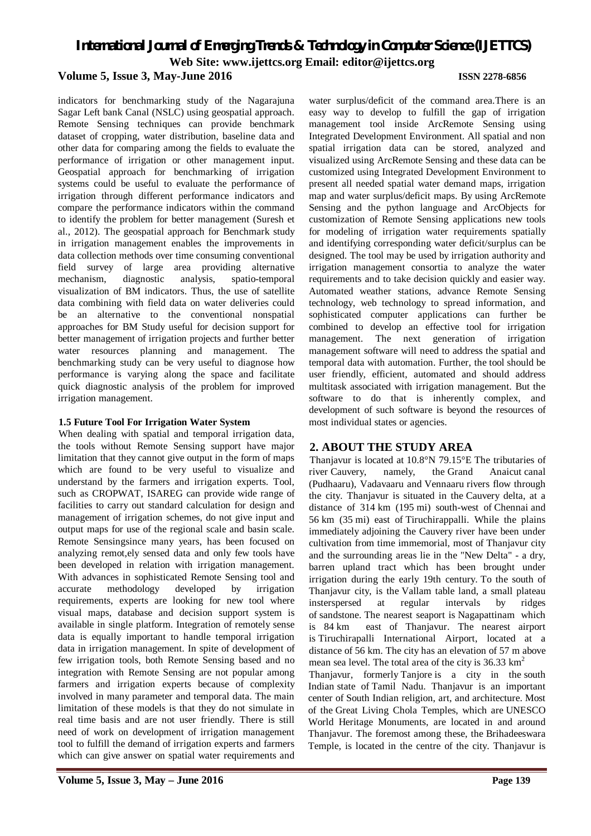indicators for benchmarking study of the Nagarajuna Sagar Left bank Canal (NSLC) using geospatial approach. Remote Sensing techniques can provide benchmark dataset of cropping, water distribution, baseline data and other data for comparing among the fields to evaluate the performance of irrigation or other management input. Geospatial approach for benchmarking of irrigation systems could be useful to evaluate the performance of irrigation through different performance indicators and compare the performance indicators within the command to identify the problem for better management (Suresh et al., 2012). The geospatial approach for Benchmark study in irrigation management enables the improvements in data collection methods over time consuming conventional field survey of large area providing alternative mechanism, diagnostic analysis, spatio-temporal visualization of BM indicators. Thus, the use of satellite data combining with field data on water deliveries could be an alternative to the conventional nonspatial approaches for BM Study useful for decision support for better management of irrigation projects and further better water resources planning and management. The benchmarking study can be very useful to diagnose how performance is varying along the space and facilitate quick diagnostic analysis of the problem for improved irrigation management.

#### **1.5 Future Tool For Irrigation Water System**

When dealing with spatial and temporal irrigation data, the tools without Remote Sensing support have major limitation that they cannot give output in the form of maps which are found to be very useful to visualize and understand by the farmers and irrigation experts. Tool, such as CROPWAT, ISAREG can provide wide range of facilities to carry out standard calculation for design and management of irrigation schemes, do not give input and output maps for use of the regional scale and basin scale. Remote Sensingsince many years, has been focused on analyzing remot,ely sensed data and only few tools have been developed in relation with irrigation management. With advances in sophisticated Remote Sensing tool and accurate methodology developed by irrigation requirements, experts are looking for new tool where visual maps, database and decision support system is available in single platform. Integration of remotely sense data is equally important to handle temporal irrigation data in irrigation management. In spite of development of few irrigation tools, both Remote Sensing based and no integration with Remote Sensing are not popular among farmers and irrigation experts because of complexity involved in many parameter and temporal data. The main limitation of these models is that they do not simulate in real time basis and are not user friendly. There is still need of work on development of irrigation management tool to fulfill the demand of irrigation experts and farmers which can give answer on spatial water requirements and

water surplus/deficit of the command area.There is an easy way to develop to fulfill the gap of irrigation management tool inside ArcRemote Sensing using Integrated Development Environment. All spatial and non spatial irrigation data can be stored, analyzed and visualized using ArcRemote Sensing and these data can be customized using Integrated Development Environment to present all needed spatial water demand maps, irrigation map and water surplus/deficit maps. By using ArcRemote Sensing and the python language and ArcObjects for customization of Remote Sensing applications new tools for modeling of irrigation water requirements spatially and identifying corresponding water deficit/surplus can be designed. The tool may be used by irrigation authority and irrigation management consortia to analyze the water requirements and to take decision quickly and easier way. Automated weather stations, advance Remote Sensing technology, web technology to spread information, and sophisticated computer applications can further be combined to develop an effective tool for irrigation management. The next generation of irrigation management software will need to address the spatial and temporal data with automation. Further, the tool should be user friendly, efficient, automated and should address multitask associated with irrigation management. But the software to do that is inherently complex, and development of such software is beyond the resources of most individual states or agencies.

## **2. ABOUT THE STUDY AREA**

Thanjavur is located at 10.8°N 79.15°E The tributaries of river Cauvery, namely, the Grand Anaicut canal (Pudhaaru), Vadavaaru and Vennaaru rivers flow through the city. Thanjavur is situated in the Cauvery delta, at a distance of 314 km (195 mi) south-west of Chennai and 56 km (35 mi) east of Tiruchirappalli. While the plains immediately adjoining the Cauvery river have been under cultivation from time immemorial, most of Thanjavur city and the surrounding areas lie in the "New Delta" - a dry, barren upland tract which has been brought under irrigation during the early 19th century. To the south of Thanjavur city, is the Vallam table land, a small plateau insterspersed at regular intervals by ridges of sandstone. The nearest seaport is Nagapattinam which is 84 km east of Thanjavur. The nearest airport is Tiruchirapalli International Airport, located at a distance of 56 km. The city has an elevation of 57 m above mean sea level. The total area of the city is  $36.33 \text{ km}^2$ Thanjavur, formerly Tanjore is a city in the south

Indian state of Tamil Nadu. Thanjavur is an important center of South Indian religion, art, and architecture. Most of the Great Living Chola Temples, which are UNESCO World Heritage Monuments, are located in and around Thanjavur. The foremost among these, the Brihadeeswara Temple, is located in the centre of the city. Thanjavur is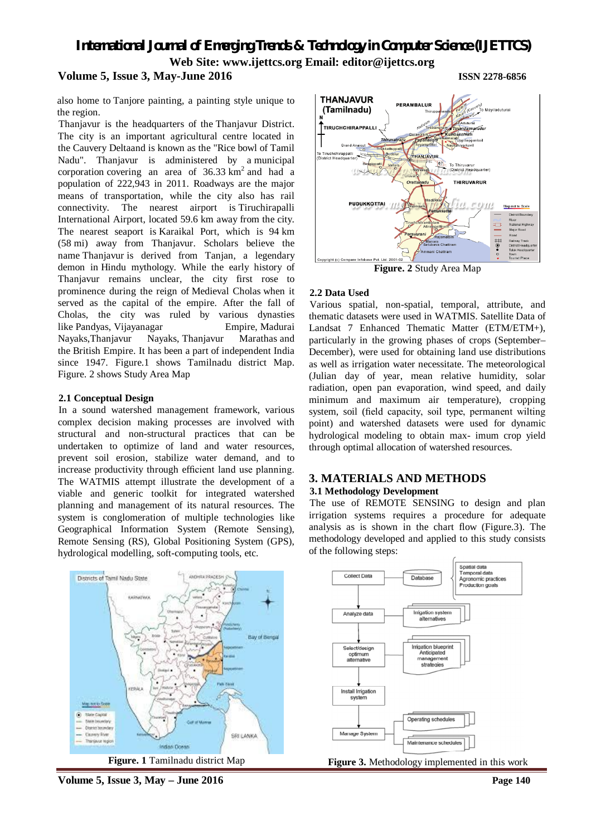also home to Tanjore painting, a painting style unique to the region.

Thanjavur is the headquarters of the Thanjavur District. The city is an important agricultural centre located in the Cauvery Deltaand is known as the "Rice bowl of Tamil Nadu". Thanjavur is administered by a municipal corporation covering an area of  $36.33 \text{ km}^2$  and had a population of 222,943 in 2011. Roadways are the major means of transportation, while the city also has rail connectivity. The nearest airport is Tiruchirapalli International Airport, located 59.6 km away from the city. The nearest seaport is Karaikal Port, which is 94 km (58 mi) away from Thanjavur. Scholars believe the name Thanjavur is derived from Tanjan, a legendary demon in Hindu mythology. While the early history of Thanjavur remains unclear, the city first rose to prominence during the reign of Medieval Cholas when it served as the capital of the empire. After the fall of Cholas, the city was ruled by various dynasties like Pandyas, Vijayanagar Empire, Madurai Nayaks,Thanjavur Nayaks, Thanjavur Marathas and the British Empire. It has been a part of independent India since 1947. Figure.1 shows Tamilnadu district Map. Figure. 2 shows Study Area Map

#### **2.1 Conceptual Design**

In a sound watershed management framework, various complex decision making processes are involved with structural and non-structural practices that can be undertaken to optimize of land and water resources, prevent soil erosion, stabilize water demand, and to increase productivity through efficient land use planning. The WATMIS attempt illustrate the development of a viable and generic toolkit for integrated watershed planning and management of its natural resources. The system is conglomeration of multiple technologies like Geographical Information System (Remote Sensing), Remote Sensing (RS), Global Positioning System (GPS), hydrological modelling, soft-computing tools, etc.





**Figure. 2** Study Area Map

#### **2.2 Data Used**

Various spatial, non-spatial, temporal, attribute, and thematic datasets were used in WATMIS. Satellite Data of Landsat 7 Enhanced Thematic Matter (ETM/ETM+), particularly in the growing phases of crops (September– December), were used for obtaining land use distributions as well as irrigation water necessitate. The meteorological (Julian day of year, mean relative humidity, solar radiation, open pan evaporation, wind speed, and daily minimum and maximum air temperature), cropping system, soil (field capacity, soil type, permanent wilting point) and watershed datasets were used for dynamic hydrological modeling to obtain max- imum crop yield through optimal allocation of watershed resources.

## **3. MATERIALS AND METHODS**

#### **3.1 Methodology Development**

The use of REMOTE SENSING to design and plan irrigation systems requires a procedure for adequate analysis as is shown in the chart flow (Figure.3). The methodology developed and applied to this study consists of the following steps:



**Figure 3.** Methodology implemented in this work

**Volume 5, Issue 3, May – June 2016 Page 140**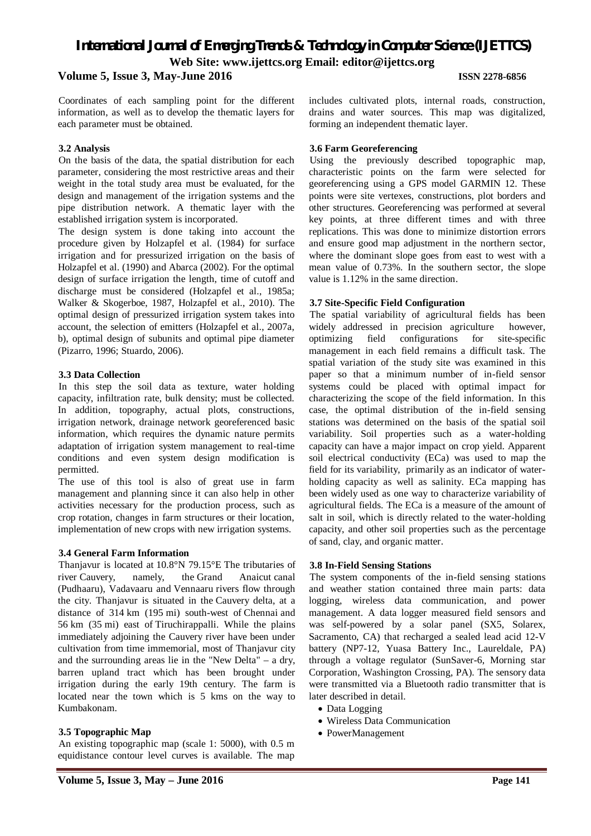## **Volume 5, Issue 3, May-June 2016 ISSN 2278-6856**

Coordinates of each sampling point for the different information, as well as to develop the thematic layers for each parameter must be obtained.

### **3.2 Analysis**

On the basis of the data, the spatial distribution for each parameter, considering the most restrictive areas and their weight in the total study area must be evaluated, for the design and management of the irrigation systems and the pipe distribution network. A thematic layer with the established irrigation system is incorporated.

The design system is done taking into account the procedure given by Holzapfel et al. (1984) for surface irrigation and for pressurized irrigation on the basis of Holzapfel et al. (1990) and Abarca (2002). For the optimal design of surface irrigation the length, time of cutoff and discharge must be considered (Holzapfel et al., 1985a; Walker & Skogerboe, 1987, Holzapfel et al., 2010). The optimal design of pressurized irrigation system takes into account, the selection of emitters (Holzapfel et al., 2007a, b), optimal design of subunits and optimal pipe diameter (Pizarro, 1996; Stuardo, 2006).

## **3.3 Data Collection**

In this step the soil data as texture, water holding capacity, infiltration rate, bulk density; must be collected. In addition, topography, actual plots, constructions, irrigation network, drainage network georeferenced basic information, which requires the dynamic nature permits adaptation of irrigation system management to real-time conditions and even system design modification is permitted.

The use of this tool is also of great use in farm management and planning since it can also help in other activities necessary for the production process, such as crop rotation, changes in farm structures or their location, implementation of new crops with new irrigation systems.

## **3.4 General Farm Information**

Thanjavur is located at 10.8°N 79.15°E The tributaries of river Cauvery, namely, the Grand Anaicut canal (Pudhaaru), Vadavaaru and Vennaaru rivers flow through the city. Thanjavur is situated in the Cauvery delta, at a distance of 314 km (195 mi) south-west of Chennai and 56 km (35 mi) east of Tiruchirappalli. While the plains immediately adjoining the Cauvery river have been under cultivation from time immemorial, most of Thanjavur city and the surrounding areas lie in the "New Delta" – a dry, barren upland tract which has been brought under irrigation during the early 19th century. The farm is located near the town which is 5 kms on the way to Kumbakonam.

## **3.5 Topographic Map**

An existing topographic map (scale 1: 5000), with 0.5 m equidistance contour level curves is available. The map

includes cultivated plots, internal roads, construction, drains and water sources. This map was digitalized, forming an independent thematic layer.

### **3.6 Farm Georeferencing**

Using the previously described topographic map, characteristic points on the farm were selected for georeferencing using a GPS model GARMIN 12. These points were site vertexes, constructions, plot borders and other structures. Georeferencing was performed at several key points, at three different times and with three replications. This was done to minimize distortion errors and ensure good map adjustment in the northern sector, where the dominant slope goes from east to west with a mean value of 0.73%. In the southern sector, the slope value is 1.12% in the same direction.

### **3.7 Site-Specific Field Configuration**

The spatial variability of agricultural fields has been widely addressed in precision agriculture however, optimizing field configurations for site-specific management in each field remains a difficult task. The spatial variation of the study site was examined in this paper so that a minimum number of in-field sensor systems could be placed with optimal impact for characterizing the scope of the field information. In this case, the optimal distribution of the in-field sensing stations was determined on the basis of the spatial soil variability. Soil properties such as a water-holding capacity can have a major impact on crop yield. Apparent soil electrical conductivity (ECa) was used to map the field for its variability, primarily as an indicator of waterholding capacity as well as salinity. ECa mapping has been widely used as one way to characterize variability of agricultural fields. The ECa is a measure of the amount of salt in soil, which is directly related to the water-holding capacity, and other soil properties such as the percentage of sand, clay, and organic matter.

## **3.8 In-Field Sensing Stations**

The system components of the in-field sensing stations and weather station contained three main parts: data logging, wireless data communication, and power management. A data logger measured field sensors and was self-powered by a solar panel (SX5, Solarex, Sacramento, CA) that recharged a sealed lead acid 12-V battery (NP7-12, Yuasa Battery Inc., Laureldale, PA) through a voltage regulator (SunSaver-6, Morning star Corporation, Washington Crossing, PA). The sensory data were transmitted via a Bluetooth radio transmitter that is later described in detail.

- Data Logging
- Wireless Data Communication
- PowerManagement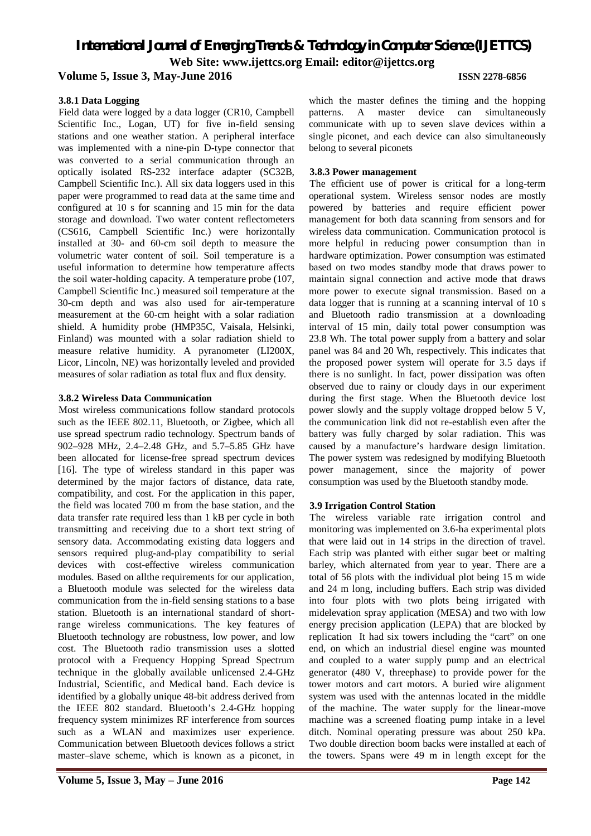## **3.8.1 Data Logging**

Field data were logged by a data logger (CR10, Campbell Scientific Inc., Logan, UT) for five in-field sensing stations and one weather station. A peripheral interface was implemented with a nine-pin D-type connector that was converted to a serial communication through an optically isolated RS-232 interface adapter (SC32B, Campbell Scientific Inc.). All six data loggers used in this paper were programmed to read data at the same time and configured at 10 s for scanning and 15 min for the data storage and download. Two water content reflectometers (CS616, Campbell Scientific Inc.) were horizontally installed at 30- and 60-cm soil depth to measure the volumetric water content of soil. Soil temperature is a useful information to determine how temperature affects the soil water-holding capacity. A temperature probe (107, Campbell Scientific Inc.) measured soil temperature at the 30-cm depth and was also used for air-temperature measurement at the 60-cm height with a solar radiation shield. A humidity probe (HMP35C, Vaisala, Helsinki, Finland) was mounted with a solar radiation shield to measure relative humidity. A pyranometer (LI200X, Licor, Lincoln, NE) was horizontally leveled and provided measures of solar radiation as total flux and flux density.

### **3.8.2 Wireless Data Communication**

Most wireless communications follow standard protocols such as the IEEE 802.11, Bluetooth, or Zigbee, which all use spread spectrum radio technology. Spectrum bands of 902–928 MHz, 2.4–2.48 GHz, and 5.7–5.85 GHz have been allocated for license-free spread spectrum devices [16]. The type of wireless standard in this paper was determined by the major factors of distance, data rate, compatibility, and cost. For the application in this paper, the field was located 700 m from the base station, and the data transfer rate required less than 1 kB per cycle in both transmitting and receiving due to a short text string of sensory data. Accommodating existing data loggers and sensors required plug-and-play compatibility to serial devices with cost-effective wireless communication modules. Based on allthe requirements for our application, a Bluetooth module was selected for the wireless data communication from the in-field sensing stations to a base station. Bluetooth is an international standard of shortrange wireless communications. The key features of Bluetooth technology are robustness, low power, and low cost. The Bluetooth radio transmission uses a slotted protocol with a Frequency Hopping Spread Spectrum technique in the globally available unlicensed 2.4-GHz Industrial, Scientific, and Medical band. Each device is identified by a globally unique 48-bit address derived from the IEEE 802 standard. Bluetooth's 2.4-GHz hopping frequency system minimizes RF interference from sources such as a WLAN and maximizes user experience. Communication between Bluetooth devices follows a strict master–slave scheme, which is known as a piconet, in which the master defines the timing and the hopping patterns. A master device can simultaneously communicate with up to seven slave devices within a single piconet, and each device can also simultaneously belong to several piconets

### **3.8.3 Power management**

The efficient use of power is critical for a long-term operational system. Wireless sensor nodes are mostly powered by batteries and require efficient power management for both data scanning from sensors and for wireless data communication. Communication protocol is more helpful in reducing power consumption than in hardware optimization. Power consumption was estimated based on two modes standby mode that draws power to maintain signal connection and active mode that draws more power to execute signal transmission. Based on a data logger that is running at a scanning interval of 10 s and Bluetooth radio transmission at a downloading interval of 15 min, daily total power consumption was 23.8 Wh. The total power supply from a battery and solar panel was 84 and 20 Wh, respectively. This indicates that the proposed power system will operate for 3.5 days if there is no sunlight. In fact, power dissipation was often observed due to rainy or cloudy days in our experiment during the first stage. When the Bluetooth device lost power slowly and the supply voltage dropped below 5 V, the communication link did not re-establish even after the battery was fully charged by solar radiation. This was caused by a manufacture's hardware design limitation. The power system was redesigned by modifying Bluetooth power management, since the majority of power consumption was used by the Bluetooth standby mode.

## **3.9 Irrigation Control Station**

The wireless variable rate irrigation control and monitoring was implemented on 3.6-ha experimental plots that were laid out in 14 strips in the direction of travel. Each strip was planted with either sugar beet or malting barley, which alternated from year to year. There are a total of 56 plots with the individual plot being 15 m wide and 24 m long, including buffers. Each strip was divided into four plots with two plots being irrigated with midelevation spray application (MESA) and two with low energy precision application (LEPA) that are blocked by replication It had six towers including the "cart" on one end, on which an industrial diesel engine was mounted and coupled to a water supply pump and an electrical generator (480 V, threephase) to provide power for the tower motors and cart motors. A buried wire alignment system was used with the antennas located in the middle of the machine. The water supply for the linear-move machine was a screened floating pump intake in a level ditch. Nominal operating pressure was about 250 kPa. Two double direction boom backs were installed at each of the towers. Spans were 49 m in length except for the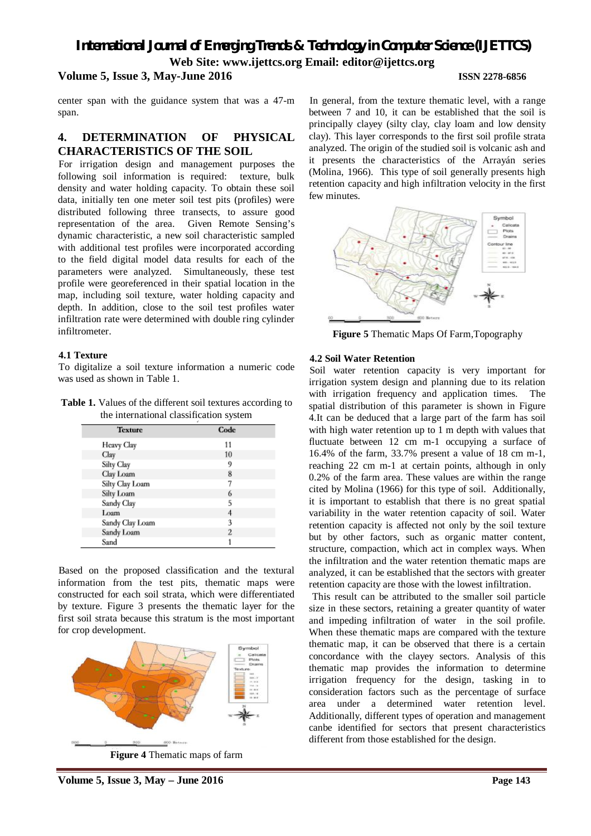center span with the guidance system that was a 47-m span.

## **4. DETERMINATION OF PHYSICAL CHARACTERISTICS OF THE SOIL**

For irrigation design and management purposes the following soil information is required: texture, bulk density and water holding capacity. To obtain these soil data, initially ten one meter soil test pits (profiles) were distributed following three transects, to assure good representation of the area. Given Remote Sensing's dynamic characteristic, a new soil characteristic sampled with additional test profiles were incorporated according to the field digital model data results for each of the parameters were analyzed. Simultaneously, these test profile were georeferenced in their spatial location in the map, including soil texture, water holding capacity and depth. In addition, close to the soil test profiles water infiltration rate were determined with double ring cylinder infiltrometer.

### **4.1 Texture**

To digitalize a soil texture information a numeric code was used as shown in Table 1.

**Table 1.** Values of the different soil textures according to the international classification system

| <b>Texture</b>  | Code           |
|-----------------|----------------|
| Heavy Clay      | 11             |
| Clay            | 10             |
| Silty Clay      | 9              |
| Clay Loam       | 8              |
| Silty Clay Loam |                |
| Silty Loam      | 6              |
| Sandy Clay      | 5              |
| Loam            | 4              |
| Sandy Clay Loam | 3              |
| Sandy Loam      | $\overline{c}$ |
| Sand            |                |

Based on the proposed classification and the textural information from the test pits, thematic maps were constructed for each soil strata, which were differentiated by texture. Figure 3 presents the thematic layer for the first soil strata because this stratum is the most important for crop development.



**Figure 4** Thematic maps of farm

In general, from the texture thematic level, with a range between 7 and 10, it can be established that the soil is principally clayey (silty clay, clay loam and low density clay). This layer corresponds to the first soil profile strata analyzed. The origin of the studied soil is volcanic ash and it presents the characteristics of the Arrayán series (Molina, 1966). This type of soil generally presents high retention capacity and high infiltration velocity in the first few minutes.



**Figure 5** Thematic Maps Of Farm,Topography

### **4.2 Soil Water Retention**

Soil water retention capacity is very important for irrigation system design and planning due to its relation with irrigation frequency and application times. The spatial distribution of this parameter is shown in Figure 4.It can be deduced that a large part of the farm has soil with high water retention up to 1 m depth with values that fluctuate between 12 cm m-1 occupying a surface of 16.4% of the farm, 33.7% present a value of 18 cm m-1, reaching 22 cm m-1 at certain points, although in only 0.2% of the farm area. These values are within the range cited by Molina (1966) for this type of soil. Additionally, it is important to establish that there is no great spatial variability in the water retention capacity of soil. Water retention capacity is affected not only by the soil texture but by other factors, such as organic matter content, structure, compaction, which act in complex ways. When the infiltration and the water retention thematic maps are analyzed, it can be established that the sectors with greater retention capacity are those with the lowest infiltration.

This result can be attributed to the smaller soil particle size in these sectors, retaining a greater quantity of water and impeding infiltration of water in the soil profile. When these thematic maps are compared with the texture thematic map, it can be observed that there is a certain concordance with the clayey sectors. Analysis of this thematic map provides the information to determine irrigation frequency for the design, tasking in to consideration factors such as the percentage of surface area under a determined water retention level. Additionally, different types of operation and management canbe identified for sectors that present characteristics different from those established for the design.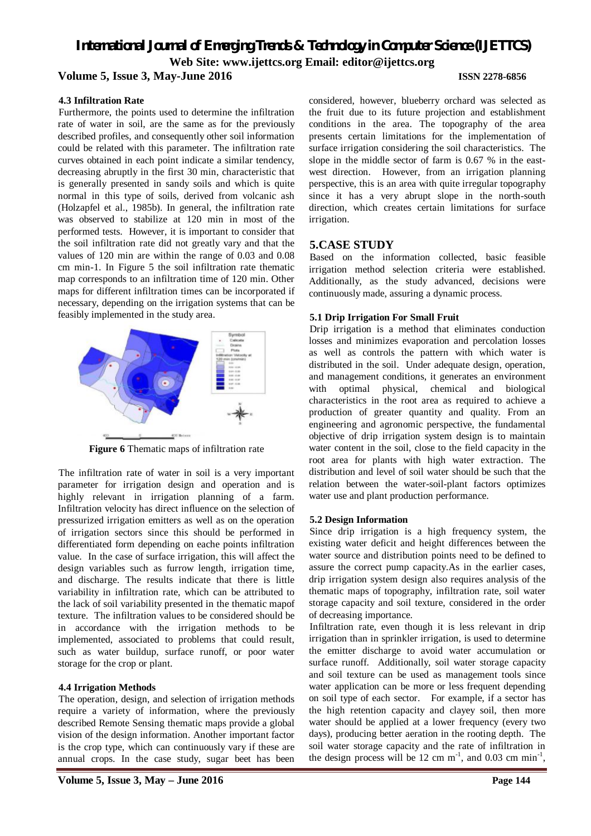## **Volume 5, Issue 3, May-June 2016 ISSN 2278-6856**

## **4.3 Infiltration Rate**

Furthermore, the points used to determine the infiltration rate of water in soil, are the same as for the previously described profiles, and consequently other soil information could be related with this parameter. The infiltration rate curves obtained in each point indicate a similar tendency, decreasing abruptly in the first 30 min, characteristic that is generally presented in sandy soils and which is quite normal in this type of soils, derived from volcanic ash (Holzapfel et al., 1985b). In general, the infiltration rate was observed to stabilize at 120 min in most of the performed tests. However, it is important to consider that the soil infiltration rate did not greatly vary and that the values of 120 min are within the range of 0.03 and 0.08 cm min-1. In Figure 5 the soil infiltration rate thematic map corresponds to an infiltration time of 120 min. Other maps for different infiltration times can be incorporated if necessary, depending on the irrigation systems that can be feasibly implemented in the study area.



**Figure 6** Thematic maps of infiltration rate

The infiltration rate of water in soil is a very important parameter for irrigation design and operation and is highly relevant in irrigation planning of a farm. Infiltration velocity has direct influence on the selection of pressurized irrigation emitters as well as on the operation of irrigation sectors since this should be performed in differentiated form depending on eache points infiltration value. In the case of surface irrigation, this will affect the design variables such as furrow length, irrigation time, and discharge. The results indicate that there is little variability in infiltration rate, which can be attributed to the lack of soil variability presented in the thematic mapof texture. The infiltration values to be considered should be in accordance with the irrigation methods to be implemented, associated to problems that could result, such as water buildup, surface runoff, or poor water storage for the crop or plant.

## **4.4 Irrigation Methods**

The operation, design, and selection of irrigation methods require a variety of information, where the previously described Remote Sensing thematic maps provide a global vision of the design information. Another important factor is the crop type, which can continuously vary if these are annual crops. In the case study, sugar beet has been

considered, however, blueberry orchard was selected as the fruit due to its future projection and establishment conditions in the area. The topography of the area presents certain limitations for the implementation of surface irrigation considering the soil characteristics. The slope in the middle sector of farm is 0.67 % in the eastwest direction. However, from an irrigation planning perspective, this is an area with quite irregular topography since it has a very abrupt slope in the north-south direction, which creates certain limitations for surface irrigation.

## **5.CASE STUDY**

Based on the information collected, basic feasible irrigation method selection criteria were established. Additionally, as the study advanced, decisions were continuously made, assuring a dynamic process.

## **5.1 Drip Irrigation For Small Fruit**

Drip irrigation is a method that eliminates conduction losses and minimizes evaporation and percolation losses as well as controls the pattern with which water is distributed in the soil. Under adequate design, operation, and management conditions, it generates an environment with optimal physical, chemical and biological characteristics in the root area as required to achieve a production of greater quantity and quality. From an engineering and agronomic perspective, the fundamental objective of drip irrigation system design is to maintain water content in the soil, close to the field capacity in the root area for plants with high water extraction. The distribution and level of soil water should be such that the relation between the water-soil-plant factors optimizes water use and plant production performance.

## **5.2 Design Information**

Since drip irrigation is a high frequency system, the existing water deficit and height differences between the water source and distribution points need to be defined to assure the correct pump capacity.As in the earlier cases, drip irrigation system design also requires analysis of the thematic maps of topography, infiltration rate, soil water storage capacity and soil texture, considered in the order of decreasing importance.

Infiltration rate, even though it is less relevant in drip irrigation than in sprinkler irrigation, is used to determine the emitter discharge to avoid water accumulation or surface runoff. Additionally, soil water storage capacity and soil texture can be used as management tools since water application can be more or less frequent depending on soil type of each sector. For example, if a sector has the high retention capacity and clayey soil, then more water should be applied at a lower frequency (every two days), producing better aeration in the rooting depth. The soil water storage capacity and the rate of infiltration in the design process will be 12 cm  $m^{-1}$ , and 0.03 cm  $min^{-1}$ ,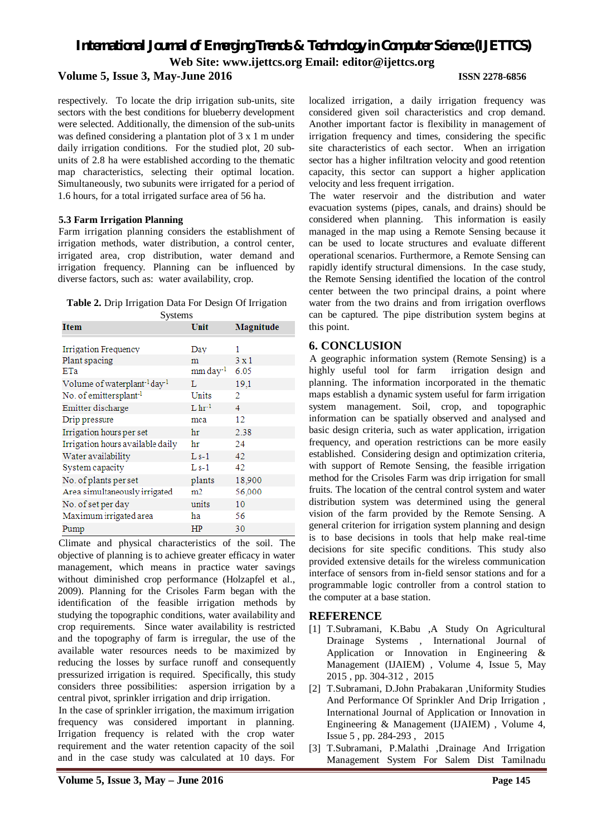## **Volume 5, Issue 3, May-June 2016 ISSN 2278-6856**

respectively. To locate the drip irrigation sub-units, site sectors with the best conditions for blueberry development were selected. Additionally, the dimension of the sub-units was defined considering a plantation plot of 3 x 1 m under daily irrigation conditions. For the studied plot, 20 subunits of 2.8 ha were established according to the thematic map characteristics, selecting their optimal location. Simultaneously, two subunits were irrigated for a period of 1.6 hours, for a total irrigated surface area of 56 ha.

### **5.3 Farm Irrigation Planning**

Farm irrigation planning considers the establishment of irrigation methods, water distribution, a control center, irrigated area, crop distribution, water demand and irrigation frequency. Planning can be influenced by diverse factors, such as: water availability, crop.

**Table 2.** Drip Irrigation Data For Design Of Irrigation **Systems** 

| <b>Item</b>                                          | Unit                 | Magnitude    |
|------------------------------------------------------|----------------------|--------------|
| Irrigation Frequency                                 | Day                  | 1            |
| Plant spacing                                        | m                    | $3 \times 1$ |
| ETa                                                  | mm day <sup>-1</sup> | 6.05         |
| Volume of waterplant <sup>-1</sup> day <sup>-1</sup> | L                    | 19,1         |
| No. of emittersplant <sup>-1</sup>                   | Units                | 2            |
| Emitter discharge                                    | $L \, hr^{-1}$       | 4            |
| Drip pressure                                        | mca                  | 12           |
| Irrigation hours per set                             | hr                   | 2.38         |
| Irrigation hours available daily                     | hr                   | 24           |
| Water availability                                   | $Ls-1$               | 42.          |
| System capacity                                      | $Ls-1$               | 42           |
| No. of plants per set                                | plants               | 18,900       |
| Area simultaneously irrigated                        | m2                   | 56,000       |
| No. of set per day                                   | units                | 10           |
| Maximum irrigated area                               | ha                   | 56           |
| Pump                                                 | HP                   | 30           |

Climate and physical characteristics of the soil. The objective of planning is to achieve greater efficacy in water management, which means in practice water savings without diminished crop performance (Holzapfel et al., 2009). Planning for the Crisoles Farm began with the identification of the feasible irrigation methods by studying the topographic conditions, water availability and crop requirements. Since water availability is restricted and the topography of farm is irregular, the use of the available water resources needs to be maximized by reducing the losses by surface runoff and consequently pressurized irrigation is required. Specifically, this study considers three possibilities: aspersion irrigation by a central pivot, sprinkler irrigation and drip irrigation.

In the case of sprinkler irrigation, the maximum irrigation frequency was considered important in planning. Irrigation frequency is related with the crop water requirement and the water retention capacity of the soil and in the case study was calculated at 10 days. For

localized irrigation, a daily irrigation frequency was considered given soil characteristics and crop demand. Another important factor is flexibility in management of irrigation frequency and times, considering the specific site characteristics of each sector. When an irrigation sector has a higher infiltration velocity and good retention capacity, this sector can support a higher application velocity and less frequent irrigation.

The water reservoir and the distribution and water evacuation systems (pipes, canals, and drains) should be considered when planning. This information is easily managed in the map using a Remote Sensing because it can be used to locate structures and evaluate different operational scenarios. Furthermore, a Remote Sensing can rapidly identify structural dimensions. In the case study, the Remote Sensing identified the location of the control center between the two principal drains, a point where water from the two drains and from irrigation overflows can be captured. The pipe distribution system begins at this point.

## **6. CONCLUSION**

A geographic information system (Remote Sensing) is a highly useful tool for farm irrigation design and planning. The information incorporated in the thematic maps establish a dynamic system useful for farm irrigation system management. Soil, crop, and topographic information can be spatially observed and analysed and basic design criteria, such as water application, irrigation frequency, and operation restrictions can be more easily established. Considering design and optimization criteria, with support of Remote Sensing, the feasible irrigation method for the Crisoles Farm was drip irrigation for small fruits. The location of the central control system and water distribution system was determined using the general vision of the farm provided by the Remote Sensing. A general criterion for irrigation system planning and design is to base decisions in tools that help make real-time decisions for site specific conditions. This study also provided extensive details for the wireless communication interface of sensors from in-field sensor stations and for a programmable logic controller from a control station to the computer at a base station.

## **REFERENCE**

- [1] T.Subramani, K.Babu ,A Study On Agricultural Drainage Systems , International Journal of Application or Innovation in Engineering & Management (IJAIEM) , Volume 4, Issue 5, May 2015 , pp. 304-312 , 2015
- [2] T.Subramani, D.John Prabakaran ,Uniformity Studies And Performance Of Sprinkler And Drip Irrigation , International Journal of Application or Innovation in Engineering & Management (IJAIEM) , Volume 4, Issue 5 , pp. 284-293 , 2015
- [3] T.Subramani, P.Malathi ,Drainage And Irrigation Management System For Salem Dist Tamilnadu